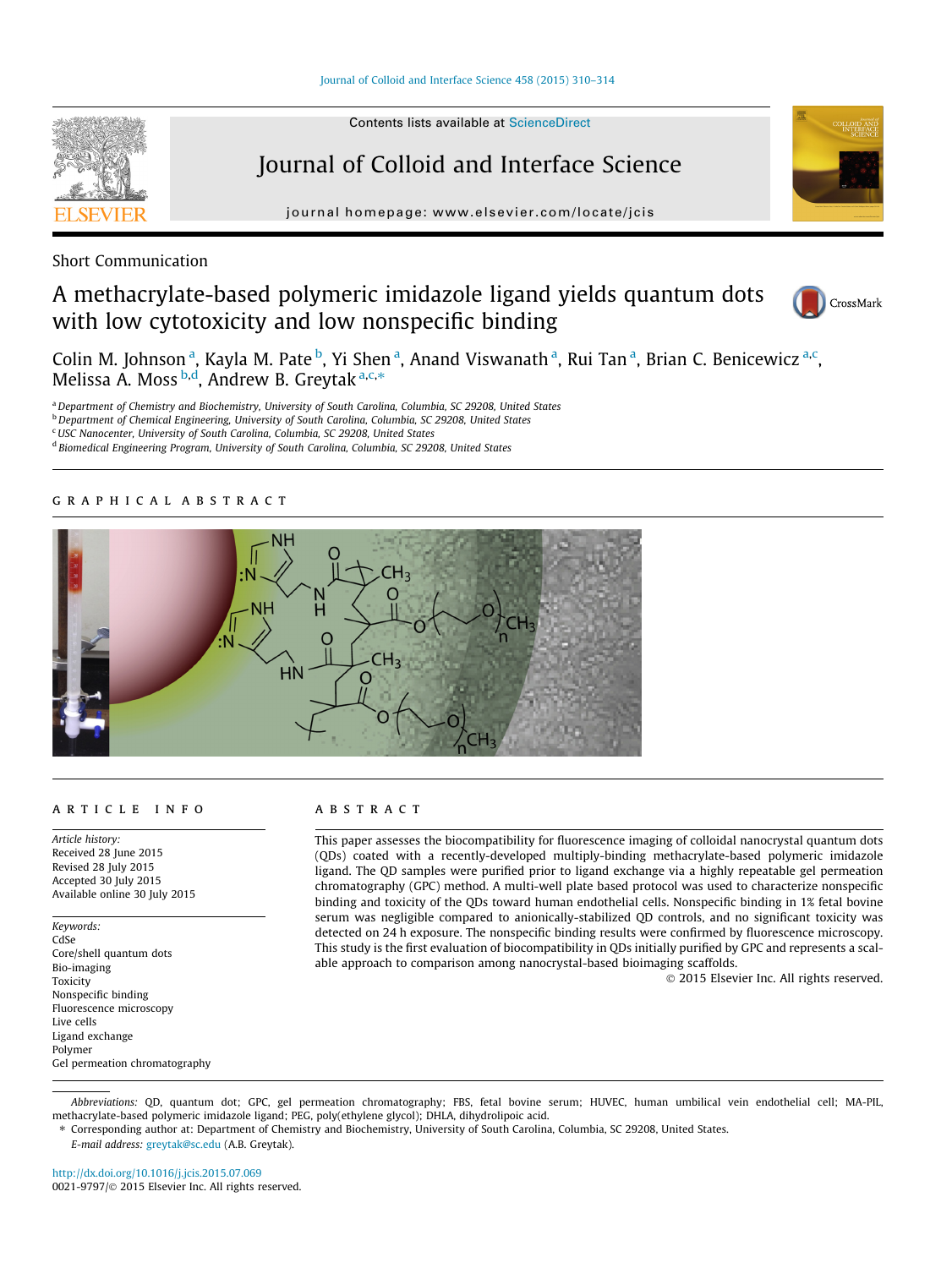

Contents lists available at [ScienceDirect](http://www.sciencedirect.com/science/journal/00219797)

# Journal of Colloid and Interface Science

journal homepage: [www.elsevier.com/locate/jcis](http://www.elsevier.com/locate/jcis)

Short Communication

# A methacrylate-based polymeric imidazole ligand yields quantum dots with low cytotoxicity and low nonspecific binding





Colin M. Johnson<sup>a</sup>, Kayla M. Pate<sup>b</sup>, Yi Shen<sup>a</sup>, Anand Viswanath<sup>a</sup>, Rui Tan<sup>a</sup>, Brian C. Benicewicz<sup>a,c</sup>, Melissa A. Moss <sup>b,d</sup>, Andrew B. Greytak <sup>a,c,</sup>\*

a Department of Chemistry and Biochemistry, University of South Carolina, Columbia, SC 29208, United States

<sup>b</sup> Department of Chemical Engineering, University of South Carolina, Columbia, SC 29208, United States

<sup>c</sup>USC Nanocenter, University of South Carolina, Columbia, SC 29208, United States

<sup>d</sup> Biomedical Engineering Program, University of South Carolina, Columbia, SC 29208, United States

# graphical abstract



## article info

Article history: Received 28 June 2015 Revised 28 July 2015 Accepted 30 July 2015 Available online 30 July 2015

Keywords: CdSe Core/shell quantum dots Bio-imaging Toxicity Nonspecific binding Fluorescence microscopy Live cells Ligand exchange Polymer Gel permeation chromatography

## ABSTRACT

This paper assesses the biocompatibility for fluorescence imaging of colloidal nanocrystal quantum dots (QDs) coated with a recently-developed multiply-binding methacrylate-based polymeric imidazole ligand. The QD samples were purified prior to ligand exchange via a highly repeatable gel permeation chromatography (GPC) method. A multi-well plate based protocol was used to characterize nonspecific binding and toxicity of the QDs toward human endothelial cells. Nonspecific binding in 1% fetal bovine serum was negligible compared to anionically-stabilized QD controls, and no significant toxicity was detected on 24 h exposure. The nonspecific binding results were confirmed by fluorescence microscopy. This study is the first evaluation of biocompatibility in QDs initially purified by GPC and represents a scalable approach to comparison among nanocrystal-based bioimaging scaffolds.

- 2015 Elsevier Inc. All rights reserved.

Abbreviations: QD, quantum dot; GPC, gel permeation chromatography; FBS, fetal bovine serum; HUVEC, human umbilical vein endothelial cell; MA-PIL, methacrylate-based polymeric imidazole ligand; PEG, poly(ethylene glycol); DHLA, dihydrolipoic acid.

⇑ Corresponding author at: Department of Chemistry and Biochemistry, University of South Carolina, Columbia, SC 29208, United States.

E-mail address: [greytak@sc.edu](mailto:greytak@sc.edu) (A.B. Greytak).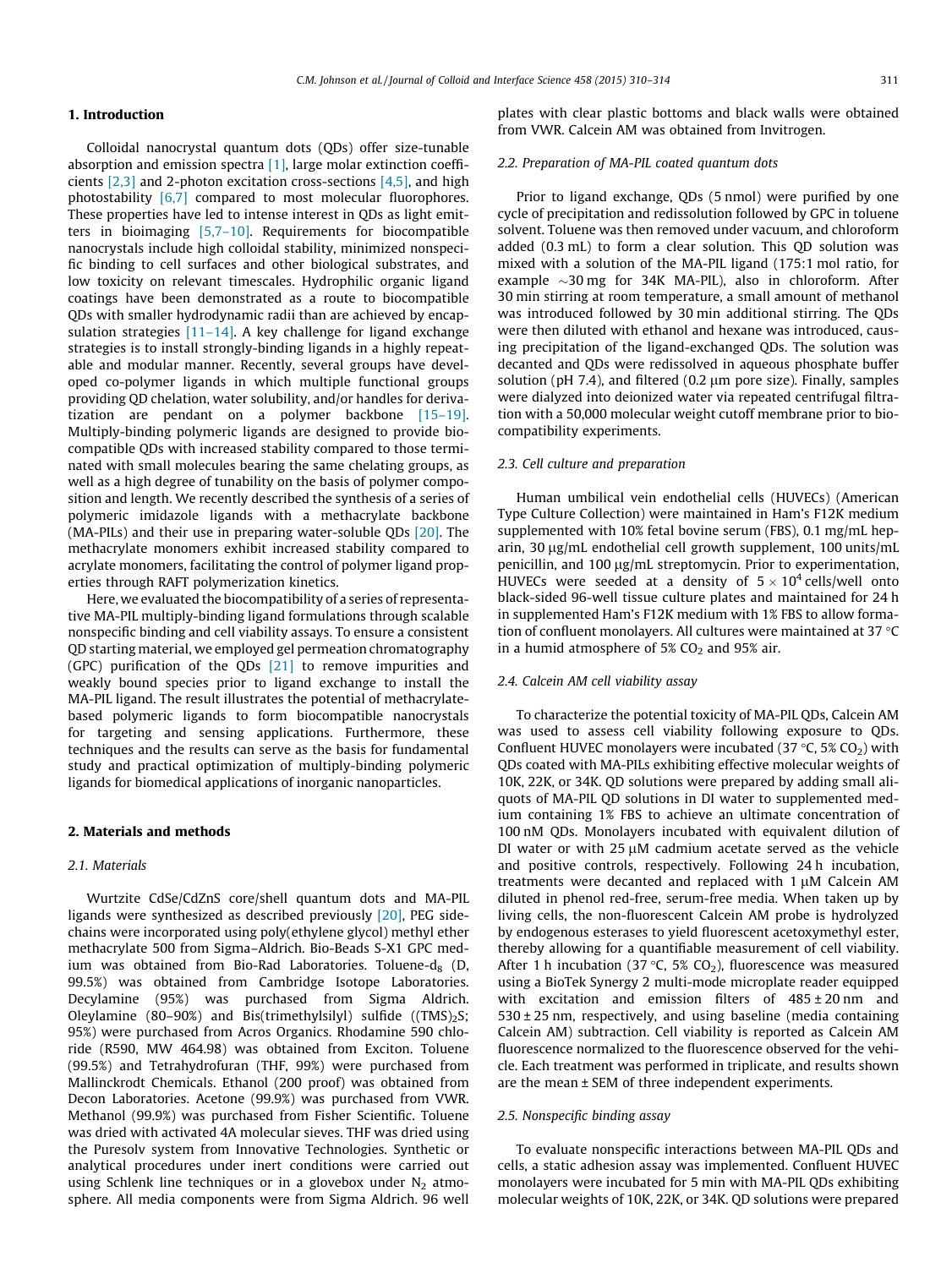# 1. Introduction

Colloidal nanocrystal quantum dots (QDs) offer size-tunable absorption and emission spectra [\[1\],](#page-4-0) large molar extinction coefficients  $[2,3]$  and 2-photon excitation cross-sections  $[4,5]$ , and high photostability [\[6,7\]](#page-4-0) compared to most molecular fluorophores. These properties have led to intense interest in QDs as light emitters in bioimaging [\[5,7–10\]](#page-4-0). Requirements for biocompatible nanocrystals include high colloidal stability, minimized nonspecific binding to cell surfaces and other biological substrates, and low toxicity on relevant timescales. Hydrophilic organic ligand coatings have been demonstrated as a route to biocompatible QDs with smaller hydrodynamic radii than are achieved by encapsulation strategies  $[11-14]$ . A key challenge for ligand exchange strategies is to install strongly-binding ligands in a highly repeatable and modular manner. Recently, several groups have developed co-polymer ligands in which multiple functional groups providing QD chelation, water solubility, and/or handles for derivatization are pendant on a polymer backbone [\[15–19\].](#page-4-0) Multiply-binding polymeric ligands are designed to provide biocompatible QDs with increased stability compared to those terminated with small molecules bearing the same chelating groups, as well as a high degree of tunability on the basis of polymer composition and length. We recently described the synthesis of a series of polymeric imidazole ligands with a methacrylate backbone (MA-PILs) and their use in preparing water-soluble QDs [\[20\].](#page-4-0) The methacrylate monomers exhibit increased stability compared to acrylate monomers, facilitating the control of polymer ligand properties through RAFT polymerization kinetics.

Here, we evaluated the biocompatibility of a series of representative MA-PIL multiply-binding ligand formulations through scalable nonspecific binding and cell viability assays. To ensure a consistent QD starting material, we employed gel permeation chromatography (GPC) purification of the QDs [\[21\]](#page-4-0) to remove impurities and weakly bound species prior to ligand exchange to install the MA-PIL ligand. The result illustrates the potential of methacrylatebased polymeric ligands to form biocompatible nanocrystals for targeting and sensing applications. Furthermore, these techniques and the results can serve as the basis for fundamental study and practical optimization of multiply-binding polymeric ligands for biomedical applications of inorganic nanoparticles.

#### 2. Materials and methods

#### 2.1. Materials

Wurtzite CdSe/CdZnS core/shell quantum dots and MA-PIL ligands were synthesized as described previously [\[20\],](#page-4-0) PEG sidechains were incorporated using poly(ethylene glycol) methyl ether methacrylate 500 from Sigma–Aldrich. Bio-Beads S-X1 GPC medium was obtained from Bio-Rad Laboratories. Toluene-d $_8$  (D, 99.5%) was obtained from Cambridge Isotope Laboratories. Decylamine (95%) was purchased from Sigma Aldrich. Oleylamine (80-90%) and Bis(trimethylsilyl) sulfide  $((TMS)_2S;$ 95%) were purchased from Acros Organics. Rhodamine 590 chloride (R590, MW 464.98) was obtained from Exciton. Toluene (99.5%) and Tetrahydrofuran (THF, 99%) were purchased from Mallinckrodt Chemicals. Ethanol (200 proof) was obtained from Decon Laboratories. Acetone (99.9%) was purchased from VWR. Methanol (99.9%) was purchased from Fisher Scientific. Toluene was dried with activated 4A molecular sieves. THF was dried using the Puresolv system from Innovative Technologies. Synthetic or analytical procedures under inert conditions were carried out using Schlenk line techniques or in a glovebox under  $N_2$  atmosphere. All media components were from Sigma Aldrich. 96 well plates with clear plastic bottoms and black walls were obtained from VWR. Calcein AM was obtained from Invitrogen.

#### 2.2. Preparation of MA-PIL coated quantum dots

Prior to ligand exchange, QDs (5 nmol) were purified by one cycle of precipitation and redissolution followed by GPC in toluene solvent. Toluene was then removed under vacuum, and chloroform added (0.3 mL) to form a clear solution. This QD solution was mixed with a solution of the MA-PIL ligand (175:1 mol ratio, for example  $\sim$ 30 mg for 34K MA-PIL), also in chloroform. After 30 min stirring at room temperature, a small amount of methanol was introduced followed by 30 min additional stirring. The QDs were then diluted with ethanol and hexane was introduced, causing precipitation of the ligand-exchanged QDs. The solution was decanted and QDs were redissolved in aqueous phosphate buffer solution (pH 7.4), and filtered (0.2  $\mu$ m pore size). Finally, samples were dialyzed into deionized water via repeated centrifugal filtration with a 50,000 molecular weight cutoff membrane prior to biocompatibility experiments.

#### 2.3. Cell culture and preparation

Human umbilical vein endothelial cells (HUVECs) (American Type Culture Collection) were maintained in Ham's F12K medium supplemented with 10% fetal bovine serum (FBS), 0.1 mg/mL heparin, 30 µg/mL endothelial cell growth supplement, 100 units/mL penicillin, and 100 µg/mL streptomycin. Prior to experimentation, HUVECs were seeded at a density of  $5 \times 10^4$  cells/well onto black-sided 96-well tissue culture plates and maintained for 24 h in supplemented Ham's F12K medium with 1% FBS to allow formation of confluent monolayers. All cultures were maintained at 37  $\degree$ C in a humid atmosphere of  $5\%$  CO<sub>2</sub> and  $95\%$  air.

## 2.4. Calcein AM cell viability assay

To characterize the potential toxicity of MA-PIL QDs, Calcein AM was used to assess cell viability following exposure to QDs. Confluent HUVEC monolayers were incubated (37  $\degree$ C, 5% CO<sub>2</sub>) with QDs coated with MA-PILs exhibiting effective molecular weights of 10K, 22K, or 34K. QD solutions were prepared by adding small aliquots of MA-PIL QD solutions in DI water to supplemented medium containing 1% FBS to achieve an ultimate concentration of 100 nM QDs. Monolayers incubated with equivalent dilution of DI water or with  $25 \mu$ M cadmium acetate served as the vehicle and positive controls, respectively. Following 24 h incubation, treatments were decanted and replaced with  $1 \mu M$  Calcein AM diluted in phenol red-free, serum-free media. When taken up by living cells, the non-fluorescent Calcein AM probe is hydrolyzed by endogenous esterases to yield fluorescent acetoxymethyl ester, thereby allowing for a quantifiable measurement of cell viability. After 1 h incubation (37 °C, 5% CO<sub>2</sub>), fluorescence was measured using a BioTek Synergy 2 multi-mode microplate reader equipped with excitation and emission filters of 485 ± 20 nm and  $530 \pm 25$  nm, respectively, and using baseline (media containing Calcein AM) subtraction. Cell viability is reported as Calcein AM fluorescence normalized to the fluorescence observed for the vehicle. Each treatment was performed in triplicate, and results shown are the mean ± SEM of three independent experiments.

## 2.5. Nonspecific binding assay

To evaluate nonspecific interactions between MA-PIL QDs and cells, a static adhesion assay was implemented. Confluent HUVEC monolayers were incubated for 5 min with MA-PIL QDs exhibiting molecular weights of 10K, 22K, or 34K. QD solutions were prepared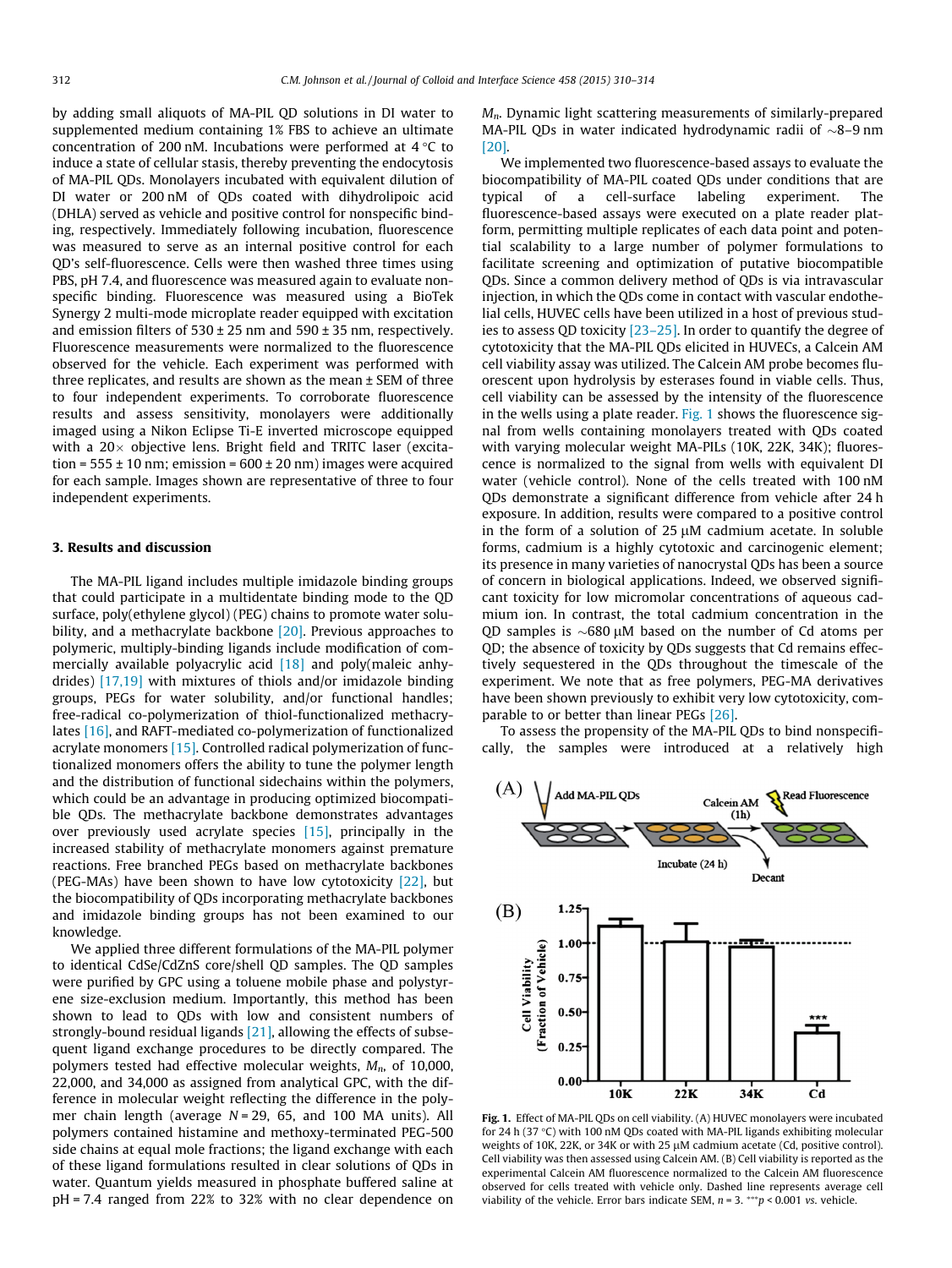by adding small aliquots of MA-PIL QD solutions in DI water to supplemented medium containing 1% FBS to achieve an ultimate concentration of 200 nM. Incubations were performed at  $4^{\circ}$ C to induce a state of cellular stasis, thereby preventing the endocytosis of MA-PIL QDs. Monolayers incubated with equivalent dilution of DI water or 200 nM of QDs coated with dihydrolipoic acid (DHLA) served as vehicle and positive control for nonspecific binding, respectively. Immediately following incubation, fluorescence was measured to serve as an internal positive control for each QD's self-fluorescence. Cells were then washed three times using PBS, pH 7.4, and fluorescence was measured again to evaluate nonspecific binding. Fluorescence was measured using a BioTek Synergy 2 multi-mode microplate reader equipped with excitation and emission filters of  $530 \pm 25$  nm and  $590 \pm 35$  nm, respectively. Fluorescence measurements were normalized to the fluorescence observed for the vehicle. Each experiment was performed with three replicates, and results are shown as the mean ± SEM of three to four independent experiments. To corroborate fluorescence results and assess sensitivity, monolayers were additionally imaged using a Nikon Eclipse Ti-E inverted microscope equipped with a  $20\times$  objective lens. Bright field and TRITC laser (excitation =  $555 \pm 10$  nm; emission =  $600 \pm 20$  nm) images were acquired for each sample. Images shown are representative of three to four independent experiments.

## 3. Results and discussion

The MA-PIL ligand includes multiple imidazole binding groups that could participate in a multidentate binding mode to the QD surface, poly(ethylene glycol) (PEG) chains to promote water solu-bility, and a methacrylate backbone [\[20\].](#page-4-0) Previous approaches to polymeric, multiply-binding ligands include modification of com-mercially available polyacrylic acid [\[18\]](#page-4-0) and poly(maleic anhydrides) [\[17,19\]](#page-4-0) with mixtures of thiols and/or imidazole binding groups, PEGs for water solubility, and/or functional handles; free-radical co-polymerization of thiol-functionalized methacrylates [\[16\]](#page-4-0), and RAFT-mediated co-polymerization of functionalized acrylate monomers [\[15\].](#page-4-0) Controlled radical polymerization of functionalized monomers offers the ability to tune the polymer length and the distribution of functional sidechains within the polymers, which could be an advantage in producing optimized biocompatible QDs. The methacrylate backbone demonstrates advantages over previously used acrylate species [\[15\],](#page-4-0) principally in the increased stability of methacrylate monomers against premature reactions. Free branched PEGs based on methacrylate backbones (PEG-MAs) have been shown to have low cytotoxicity [\[22\]](#page-4-0), but the biocompatibility of QDs incorporating methacrylate backbones and imidazole binding groups has not been examined to our knowledge.

We applied three different formulations of the MA-PIL polymer to identical CdSe/CdZnS core/shell QD samples. The QD samples were purified by GPC using a toluene mobile phase and polystyrene size-exclusion medium. Importantly, this method has been shown to lead to QDs with low and consistent numbers of strongly-bound residual ligands [\[21\]](#page-4-0), allowing the effects of subsequent ligand exchange procedures to be directly compared. The polymers tested had effective molecular weights,  $M_n$ , of 10,000, 22,000, and 34,000 as assigned from analytical GPC, with the difference in molecular weight reflecting the difference in the polymer chain length (average  $N = 29$ , 65, and 100 MA units). All polymers contained histamine and methoxy-terminated PEG-500 side chains at equal mole fractions; the ligand exchange with each of these ligand formulations resulted in clear solutions of QDs in water. Quantum yields measured in phosphate buffered saline at pH = 7.4 ranged from 22% to 32% with no clear dependence on Mn. Dynamic light scattering measurements of similarly-prepared MA-PIL QDs in water indicated hydrodynamic radii of  $\sim$ 8–9 nm [\[20\]](#page-4-0).

We implemented two fluorescence-based assays to evaluate the biocompatibility of MA-PIL coated QDs under conditions that are typical of a cell-surface labeling experiment. The fluorescence-based assays were executed on a plate reader platform, permitting multiple replicates of each data point and potential scalability to a large number of polymer formulations to facilitate screening and optimization of putative biocompatible QDs. Since a common delivery method of QDs is via intravascular injection, in which the QDs come in contact with vascular endothelial cells, HUVEC cells have been utilized in a host of previous studies to assess QD toxicity [\[23–25\].](#page-4-0) In order to quantify the degree of cytotoxicity that the MA-PIL QDs elicited in HUVECs, a Calcein AM cell viability assay was utilized. The Calcein AM probe becomes fluorescent upon hydrolysis by esterases found in viable cells. Thus, cell viability can be assessed by the intensity of the fluorescence in the wells using a plate reader. Fig. 1 shows the fluorescence signal from wells containing monolayers treated with QDs coated with varying molecular weight MA-PILs (10K, 22K, 34K); fluorescence is normalized to the signal from wells with equivalent DI water (vehicle control). None of the cells treated with 100 nM QDs demonstrate a significant difference from vehicle after 24 h exposure. In addition, results were compared to a positive control in the form of a solution of  $25 \mu$ M cadmium acetate. In soluble forms, cadmium is a highly cytotoxic and carcinogenic element; its presence in many varieties of nanocrystal QDs has been a source of concern in biological applications. Indeed, we observed significant toxicity for low micromolar concentrations of aqueous cadmium ion. In contrast, the total cadmium concentration in the QD samples is  $\sim$  680 µM based on the number of Cd atoms per QD; the absence of toxicity by QDs suggests that Cd remains effectively sequestered in the QDs throughout the timescale of the experiment. We note that as free polymers, PEG-MA derivatives have been shown previously to exhibit very low cytotoxicity, comparable to or better than linear PEGs [\[26\].](#page-4-0)

To assess the propensity of the MA-PIL QDs to bind nonspecifically, the samples were introduced at a relatively high



Fig. 1. Effect of MA-PIL QDs on cell viability. (A) HUVEC monolayers were incubated for 24 h (37 °C) with 100 nM QDs coated with MA-PIL ligands exhibiting molecular weights of 10K, 22K, or 34K or with 25  $\mu$ M cadmium acetate (Cd, positive control). Cell viability was then assessed using Calcein AM. (B) Cell viability is reported as the experimental Calcein AM fluorescence normalized to the Calcein AM fluorescence observed for cells treated with vehicle only. Dashed line represents average cell viability of the vehicle. Error bars indicate SEM,  $n = 3$ . \*\*\* $p < 0.001$  vs. vehicle.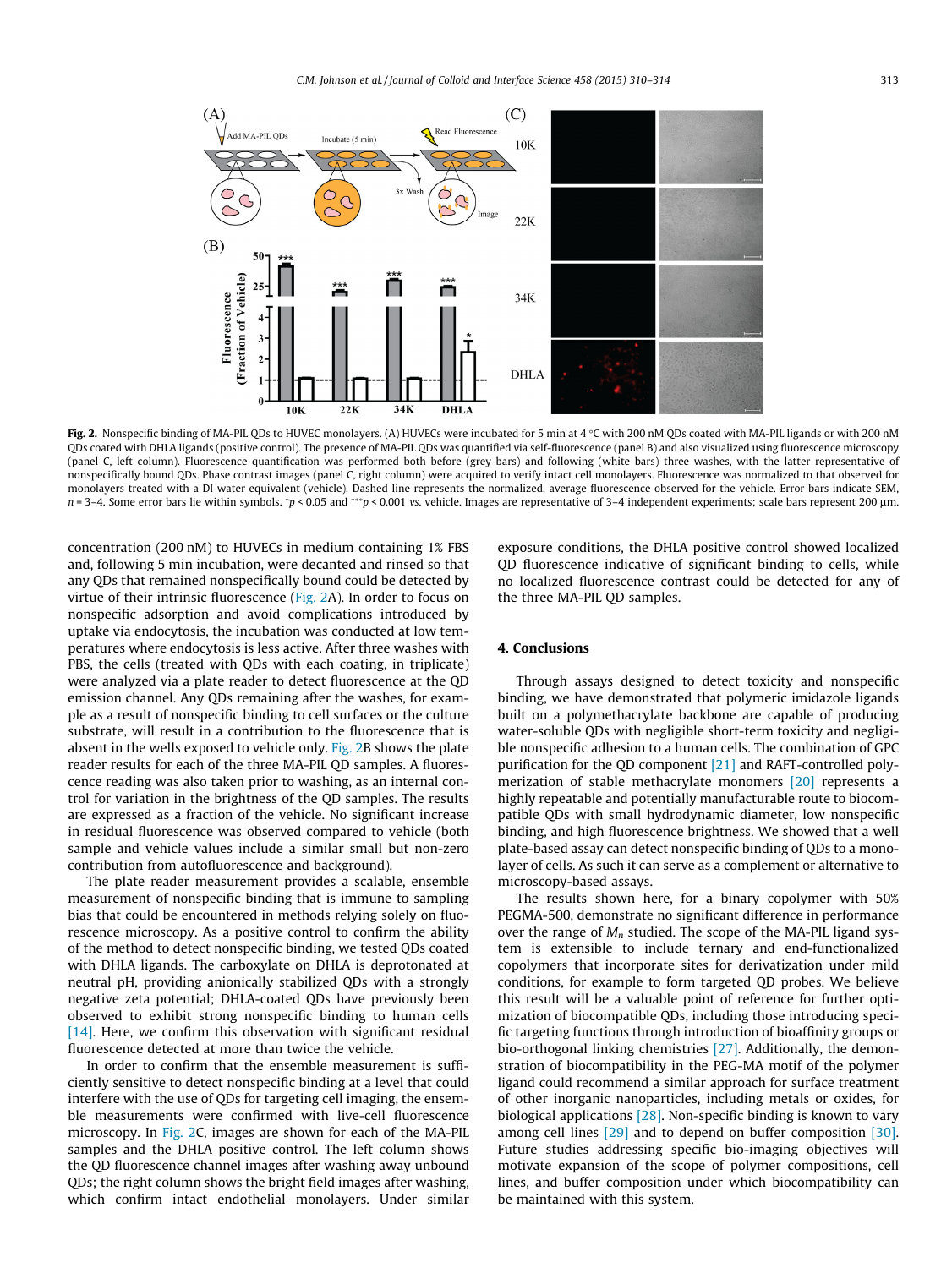

Fig. 2. Nonspecific binding of MA-PIL QDs to HUVEC monolayers. (A) HUVECs were incubated for 5 min at 4 °C with 200 nM QDs coated with MA-PIL ligands or with 200 nM QDs coated with DHLA ligands (positive control). The presence of MA-PIL QDs was quantified via self-fluorescence (panel B) and also visualized using fluorescence microscopy (panel C, left column). Fluorescence quantification was performed both before (grey bars) and following (white bars) three washes, with the latter representative of nonspecifically bound QDs. Phase contrast images (panel C, right column) were acquired to verify intact cell monolayers. Fluorescence was normalized to that observed for monolayers treated with a DI water equivalent (vehicle). Dashed line represents the normalized, average fluorescence observed for the vehicle. Error bars indicate SEM,  $n = 3-4$ . Some error bars lie within symbols. \*p < 0.05 and \*\*\*p < 0.001 vs. vehicle. Images are representative of 3–4 independent experiments; scale bars represent 200 µm.

concentration (200 nM) to HUVECs in medium containing 1% FBS and, following 5 min incubation, were decanted and rinsed so that any QDs that remained nonspecifically bound could be detected by virtue of their intrinsic fluorescence (Fig. 2A). In order to focus on nonspecific adsorption and avoid complications introduced by uptake via endocytosis, the incubation was conducted at low temperatures where endocytosis is less active. After three washes with PBS, the cells (treated with QDs with each coating, in triplicate) were analyzed via a plate reader to detect fluorescence at the QD emission channel. Any QDs remaining after the washes, for example as a result of nonspecific binding to cell surfaces or the culture substrate, will result in a contribution to the fluorescence that is absent in the wells exposed to vehicle only. Fig. 2B shows the plate reader results for each of the three MA-PIL QD samples. A fluorescence reading was also taken prior to washing, as an internal control for variation in the brightness of the QD samples. The results are expressed as a fraction of the vehicle. No significant increase in residual fluorescence was observed compared to vehicle (both sample and vehicle values include a similar small but non-zero contribution from autofluorescence and background).

The plate reader measurement provides a scalable, ensemble measurement of nonspecific binding that is immune to sampling bias that could be encountered in methods relying solely on fluorescence microscopy. As a positive control to confirm the ability of the method to detect nonspecific binding, we tested QDs coated with DHLA ligands. The carboxylate on DHLA is deprotonated at neutral pH, providing anionically stabilized QDs with a strongly negative zeta potential; DHLA-coated QDs have previously been observed to exhibit strong nonspecific binding to human cells [\[14\].](#page-4-0) Here, we confirm this observation with significant residual fluorescence detected at more than twice the vehicle.

In order to confirm that the ensemble measurement is sufficiently sensitive to detect nonspecific binding at a level that could interfere with the use of QDs for targeting cell imaging, the ensemble measurements were confirmed with live-cell fluorescence microscopy. In Fig. 2C, images are shown for each of the MA-PIL samples and the DHLA positive control. The left column shows the QD fluorescence channel images after washing away unbound QDs; the right column shows the bright field images after washing, which confirm intact endothelial monolayers. Under similar exposure conditions, the DHLA positive control showed localized QD fluorescence indicative of significant binding to cells, while no localized fluorescence contrast could be detected for any of the three MA-PIL QD samples.

## 4. Conclusions

Through assays designed to detect toxicity and nonspecific binding, we have demonstrated that polymeric imidazole ligands built on a polymethacrylate backbone are capable of producing water-soluble QDs with negligible short-term toxicity and negligible nonspecific adhesion to a human cells. The combination of GPC purification for the QD component [\[21\]](#page-4-0) and RAFT-controlled polymerization of stable methacrylate monomers [\[20\]](#page-4-0) represents a highly repeatable and potentially manufacturable route to biocompatible QDs with small hydrodynamic diameter, low nonspecific binding, and high fluorescence brightness. We showed that a well plate-based assay can detect nonspecific binding of QDs to a monolayer of cells. As such it can serve as a complement or alternative to microscopy-based assays.

The results shown here, for a binary copolymer with 50% PEGMA-500, demonstrate no significant difference in performance over the range of  $M_n$  studied. The scope of the MA-PIL ligand system is extensible to include ternary and end-functionalized copolymers that incorporate sites for derivatization under mild conditions, for example to form targeted QD probes. We believe this result will be a valuable point of reference for further optimization of biocompatible QDs, including those introducing specific targeting functions through introduction of bioaffinity groups or bio-orthogonal linking chemistries [\[27\].](#page-4-0) Additionally, the demonstration of biocompatibility in the PEG-MA motif of the polymer ligand could recommend a similar approach for surface treatment of other inorganic nanoparticles, including metals or oxides, for biological applications [\[28\]](#page-4-0). Non-specific binding is known to vary among cell lines [\[29\]](#page-4-0) and to depend on buffer composition [\[30\].](#page-4-0) Future studies addressing specific bio-imaging objectives will motivate expansion of the scope of polymer compositions, cell lines, and buffer composition under which biocompatibility can be maintained with this system.